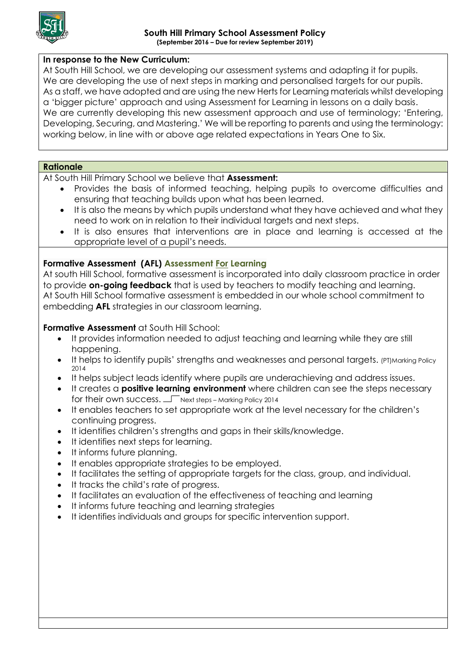

## **In response to the New Curriculum:**

At South Hill School, we are developing our assessment systems and adapting it for pupils. We are developing the use of next steps in marking and personalised targets for our pupils. As a staff, we have adopted and are using the new Herts for Learning materials whilst developing a 'bigger picture' approach and using Assessment for Learning in lessons on a daily basis. We are currently developing this new assessment approach and use of terminology; 'Entering, Developing, Securing, and Mastering.' We will be reporting to parents and using the terminology: working below, in line with or above age related expectations in Years One to Six.

### **Rationale**

At South Hill Primary School we believe that **Assessment:**

- Provides the basis of informed teaching, helping pupils to overcome difficulties and ensuring that teaching builds upon what has been learned.
- It is also the means by which pupils understand what they have achieved and what they need to work on in relation to their individual targets and next steps.
- It is also ensures that interventions are in place and learning is accessed at the appropriate level of a pupil's needs.

## **Formative Assessment (AFL) Assessment For Learning**

At south Hill School, formative assessment is incorporated into daily classroom practice in order to provide **on-going feedback** that is used by teachers to modify teaching and learning. At South Hill School formative assessment is embedded in our whole school commitment to embedding **AFL** strategies in our classroom learning.

## **Formative Assessment** at South Hill School:

- It provides information needed to adjust teaching and learning while they are still happening.
- It helps to identify pupils' strengths and weaknesses and personal targets. (PT)Marking Policy 2014
- It helps subject leads identify where pupils are underachieving and address issues.
- It creates a **positive learning environment** where children can see the steps necessary for their own success.  $\Box$  Next steps – Marking Policy 2014
- It enables teachers to set appropriate work at the level necessary for the children's continuing progress.
- It identifies children's strengths and gaps in their skills/knowledge.
- It identifies next steps for learning.
- It informs future planning.
- It enables appropriate strategies to be employed.
- It facilitates the setting of appropriate targets for the class, group, and individual.
- It tracks the child's rate of progress.
- It facilitates an evaluation of the effectiveness of teaching and learning
- It informs future teaching and learning strategies
- It identifies individuals and groups for specific intervention support.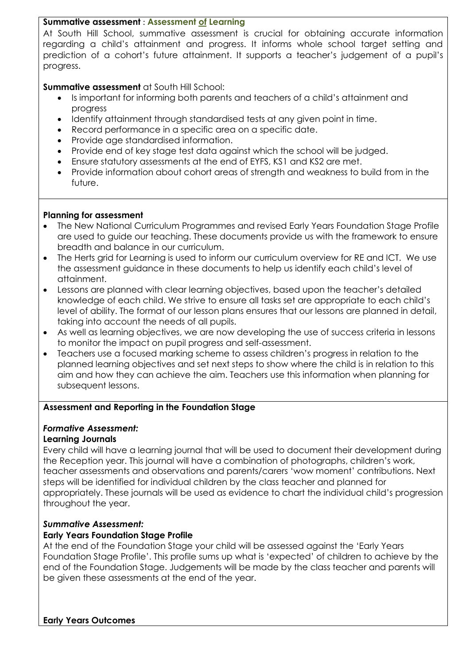## **Summative assessment** : **Assessment of Learning**

At South Hill School, summative assessment is crucial for obtaining accurate information regarding a child's attainment and progress. It informs whole school target setting and prediction of a cohort's future attainment. It supports a teacher's judgement of a pupil's progress.

# **Summative assessment** at South Hill School:

- Is important for informing both parents and teachers of a child's attainment and progress
- Identify attainment through standardised tests at any given point in time.
- Record performance in a specific area on a specific date.
- Provide age standardised information.
- Provide end of key stage test data against which the school will be judged.
- Ensure statutory assessments at the end of EYFS, KS1 and KS2 are met.
- Provide information about cohort areas of strength and weakness to build from in the future.

## **Planning for assessment**

- The New National Curriculum Programmes and revised Early Years Foundation Stage Profile are used to guide our teaching. These documents provide us with the framework to ensure breadth and balance in our curriculum.
- The Herts grid for Learning is used to inform our curriculum overview for RE and ICT. We use the assessment guidance in these documents to help us identify each child's level of attainment.
- Lessons are planned with clear learning objectives, based upon the teacher's detailed knowledge of each child. We strive to ensure all tasks set are appropriate to each child's level of ability. The format of our lesson plans ensures that our lessons are planned in detail, taking into account the needs of all pupils.
- As well as learning objectives, we are now developing the use of success criteria in lessons to monitor the impact on pupil progress and self-assessment.
- Teachers use a focused marking scheme to assess children's progress in relation to the planned learning objectives and set next steps to show where the child is in relation to this aim and how they can achieve the aim. Teachers use this information when planning for subsequent lessons.

# **Assessment and Reporting in the Foundation Stage**

# *Formative Assessment:*

# **Learning Journals**

Every child will have a learning journal that will be used to document their development during the Reception year. This journal will have a combination of photographs, children's work, teacher assessments and observations and parents/carers 'wow moment' contributions. Next steps will be identified for individual children by the class teacher and planned for appropriately. These journals will be used as evidence to chart the individual child's progression throughout the year.

# *Summative Assessment:*

# **Early Years Foundation Stage Profile**

At the end of the Foundation Stage your child will be assessed against the 'Early Years Foundation Stage Profile'. This profile sums up what is 'expected' of children to achieve by the end of the Foundation Stage. Judgements will be made by the class teacher and parents will be given these assessments at the end of the year.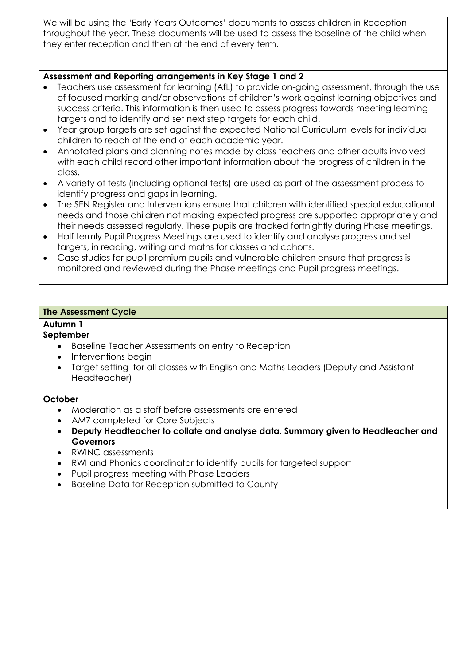We will be using the 'Early Years Outcomes' documents to assess children in Reception throughout the year. These documents will be used to assess the baseline of the child when they enter reception and then at the end of every term.

# **Assessment and Reporting arrangements in Key Stage 1 and 2**

- Teachers use assessment for learning (AfL) to provide on-going assessment, through the use of focused marking and/or observations of children's work against learning objectives and success criteria. This information is then used to assess progress towards meeting learning targets and to identify and set next step targets for each child.
- Year group targets are set against the expected National Curriculum levels for individual children to reach at the end of each academic year.
- Annotated plans and planning notes made by class teachers and other adults involved with each child record other important information about the progress of children in the class.
- A variety of tests (including optional tests) are used as part of the assessment process to identify progress and gaps in learning.
- The SEN Register and Interventions ensure that children with identified special educational needs and those children not making expected progress are supported appropriately and their needs assessed regularly. These pupils are tracked fortnightly during Phase meetings.
- Half termly Pupil Progress Meetings are used to identify and analyse progress and set targets, in reading, writing and maths for classes and cohorts.
- Case studies for pupil premium pupils and vulnerable children ensure that progress is monitored and reviewed during the Phase meetings and Pupil progress meetings.

## **The Assessment Cycle**

## **Autumn 1**

## **September**

- Baseline Teacher Assessments on entry to Reception
- Interventions begin
- Target setting for all classes with English and Maths Leaders (Deputy and Assistant Headteacher)

## **October**

- Moderation as a staff before assessments are entered
- AM7 completed for Core Subjects
- **Deputy Headteacher to collate and analyse data. Summary given to Headteacher and Governors**
- RWINC assessments
- RWI and Phonics coordinator to identify pupils for targeted support
- Pupil progress meeting with Phase Leaders
- Baseline Data for Reception submitted to County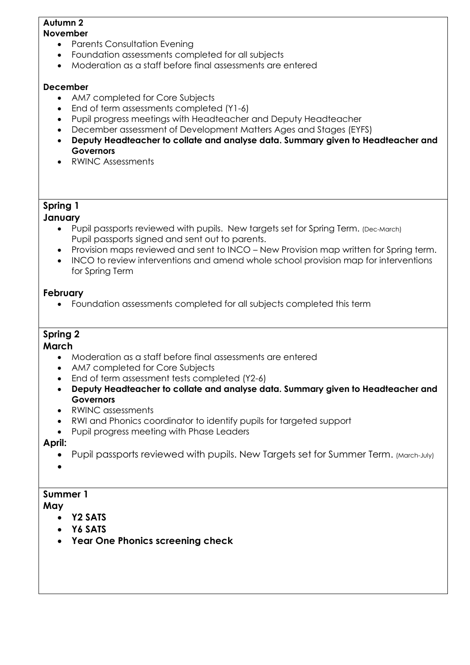#### **Autumn 2 November**

- Parents Consultation Evening
- Foundation assessments completed for all subjects
- Moderation as a staff before final assessments are entered

# **December**

- AM7 completed for Core Subjects
- End of term assessments completed (Y1-6)
- Pupil progress meetings with Headteacher and Deputy Headteacher
- December assessment of Development Matters Ages and Stages (EYFS)
- **Deputy Headteacher to collate and analyse data. Summary given to Headteacher and Governors**
- RWINC Assessments

# **Spring 1**

# **January**

- Pupil passports reviewed with pupils. New targets set for Spring Term. (Dec-March) Pupil passports signed and sent out to parents.
- Provision maps reviewed and sent to INCO New Provision map written for Spring term.
- INCO to review interventions and amend whole school provision map for interventions for Spring Term

# **February**

Foundation assessments completed for all subjects completed this term

# **Spring 2**

# **March**

- Moderation as a staff before final assessments are entered
- AM7 completed for Core Subjects
- End of term assessment tests completed (Y2-6)
- **Deputy Headteacher to collate and analyse data. Summary given to Headteacher and Governors**
- RWINC assessments
- RWI and Phonics coordinator to identify pupils for targeted support
- Pupil progress meeting with Phase Leaders

# **April:**

- Pupil passports reviewed with pupils. New Targets set for Summer Term. (March-July)
- $\bullet$

# **Summer 1**

# **May**

- **Y2 SATS**
- **Y6 SATS**
- **Year One Phonics screening check**